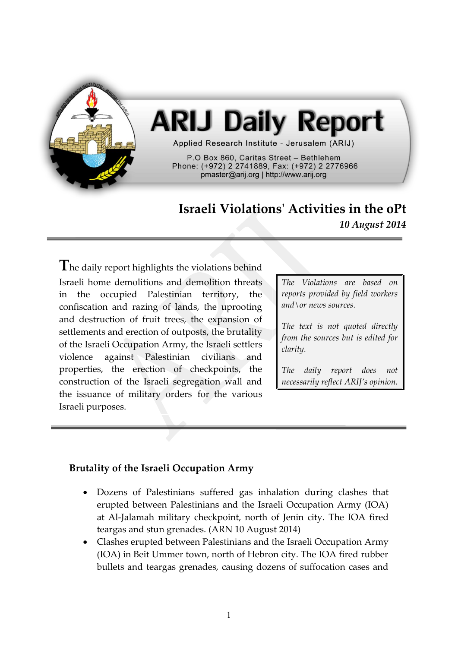

# **ARIJ Daily Report**

Applied Research Institute - Jerusalem (ARIJ)

P.O Box 860. Caritas Street - Bethlehem Phone: (+972) 2 2741889, Fax: (+972) 2 2776966 pmaster@arij.org | http://www.arij.org

## **Israeli Violations' Activities in the oPt** *10 August 2014*

**T**he daily report highlights the violations behind Israeli home demolitions and demolition threats in the occupied Palestinian territory, the confiscation and razing of lands, the uprooting and destruction of fruit trees, the expansion of settlements and erection of outposts, the brutality of the Israeli Occupation Army, the Israeli settlers violence against Palestinian civilians and properties, the erection of checkpoints, the construction of the Israeli segregation wall and the issuance of military orders for the various Israeli purposes.

*The Violations are based on reports provided by field workers and\or news sources.*

*The text is not quoted directly from the sources but is edited for clarity.*

*The daily report does not necessarily reflect ARIJ's opinion.*

### **Brutality of the Israeli Occupation Army**

- Dozens of Palestinians suffered gas inhalation during clashes that erupted between Palestinians and the Israeli Occupation Army (IOA) at Al-Jalamah military checkpoint, north of Jenin city. The IOA fired teargas and stun grenades. (ARN 10 August 2014)
- Clashes erupted between Palestinians and the Israeli Occupation Army (IOA) in Beit Ummer town, north of Hebron city. The IOA fired rubber bullets and teargas grenades, causing dozens of suffocation cases and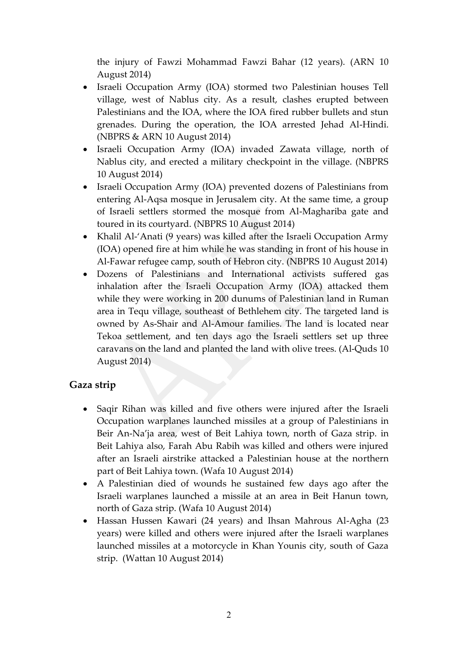the injury of Fawzi Mohammad Fawzi Bahar (12 years). (ARN 10 August 2014)

- Israeli Occupation Army (IOA) stormed two Palestinian houses Tell village, west of Nablus city. As a result, clashes erupted between Palestinians and the IOA, where the IOA fired rubber bullets and stun grenades. During the operation, the IOA arrested Jehad Al-Hindi. (NBPRS & ARN 10 August 2014)
- Israeli Occupation Army (IOA) invaded Zawata village, north of Nablus city, and erected a military checkpoint in the village. (NBPRS 10 August 2014)
- Israeli Occupation Army (IOA) prevented dozens of Palestinians from entering Al-Aqsa mosque in Jerusalem city. At the same time, a group of Israeli settlers stormed the mosque from Al-Maghariba gate and toured in its courtyard. (NBPRS 10 August 2014)
- Khalil Al-'Anati (9 years) was killed after the Israeli Occupation Army (IOA) opened fire at him while he was standing in front of his house in Al-Fawar refugee camp, south of Hebron city. (NBPRS 10 August 2014)
- Dozens of Palestinians and International activists suffered gas inhalation after the Israeli Occupation Army (IOA) attacked them while they were working in 200 dunums of Palestinian land in Ruman area in Tequ village, southeast of Bethlehem city. The targeted land is owned by As-Shair and Al-Amour families. The land is located near Tekoa settlement, and ten days ago the Israeli settlers set up three caravans on the land and planted the land with olive trees. (Al-Quds 10 August 2014)

### **Gaza strip**

- Saqir Rihan was killed and five others were injured after the Israeli Occupation warplanes launched missiles at a group of Palestinians in Beir An-Na'ja area, west of Beit Lahiya town, north of Gaza strip. in Beit Lahiya also, Farah Abu Rabih was killed and others were injured after an Israeli airstrike attacked a Palestinian house at the northern part of Beit Lahiya town. (Wafa 10 August 2014)
- A Palestinian died of wounds he sustained few days ago after the Israeli warplanes launched a missile at an area in Beit Hanun town, north of Gaza strip. (Wafa 10 August 2014)
- Hassan Hussen Kawari (24 years) and Ihsan Mahrous Al-Agha (23 years) were killed and others were injured after the Israeli warplanes launched missiles at a motorcycle in Khan Younis city, south of Gaza strip. (Wattan 10 August 2014)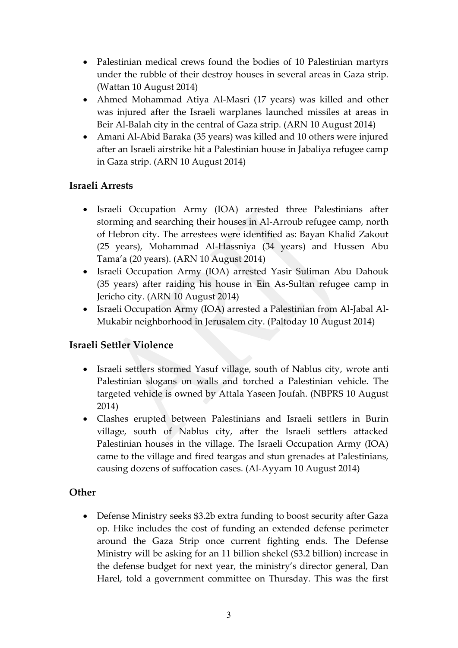- Palestinian medical crews found the bodies of 10 Palestinian martyrs under the rubble of their destroy houses in several areas in Gaza strip. (Wattan 10 August 2014)
- Ahmed Mohammad Atiya Al-Masri (17 years) was killed and other was injured after the Israeli warplanes launched missiles at areas in Beir Al-Balah city in the central of Gaza strip. (ARN 10 August 2014)
- Amani Al-Abid Baraka (35 years) was killed and 10 others were injured after an Israeli airstrike hit a Palestinian house in Jabaliya refugee camp in Gaza strip. (ARN 10 August 2014)

### **Israeli Arrests**

- Israeli Occupation Army (IOA) arrested three Palestinians after storming and searching their houses in Al-Arroub refugee camp, north of Hebron city. The arrestees were identified as: Bayan Khalid Zakout (25 years), Mohammad Al-Hassniya (34 years) and Hussen Abu Tama'a (20 years). (ARN 10 August 2014)
- Israeli Occupation Army (IOA) arrested Yasir Suliman Abu Dahouk (35 years) after raiding his house in Ein As-Sultan refugee camp in Jericho city. (ARN 10 August 2014)
- Israeli Occupation Army (IOA) arrested a Palestinian from Al-Jabal Al-Mukabir neighborhood in Jerusalem city. (Paltoday 10 August 2014)

### **Israeli Settler Violence**

- Israeli settlers stormed Yasuf village, south of Nablus city, wrote anti Palestinian slogans on walls and torched a Palestinian vehicle. The targeted vehicle is owned by Attala Yaseen Joufah. (NBPRS 10 August 2014)
- Clashes erupted between Palestinians and Israeli settlers in Burin village, south of Nablus city, after the Israeli settlers attacked Palestinian houses in the village. The Israeli Occupation Army (IOA) came to the village and fired teargas and stun grenades at Palestinians, causing dozens of suffocation cases. (Al-Ayyam 10 August 2014)

### **Other**

 Defense Ministry seeks \$3.2b extra funding to boost security after Gaza op. Hike includes the cost of funding an extended defense perimeter around the Gaza Strip once current fighting ends. The Defense Ministry will be asking for an 11 billion shekel (\$3.2 billion) increase in the defense budget for next year, the ministry's director general, Dan Harel, told a government committee on Thursday. This was the first